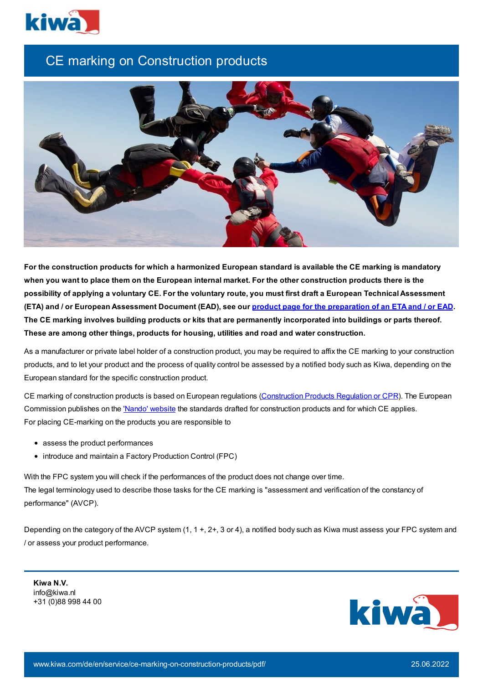

## CE marking on Construction products



For the construction products for which a harmonized European standard is available the CE marking is mandatory when you want to place them on the European internal market. For the other construction products there is the possibility of applying a voluntary CE. For the voluntary route, you must first draft a European Technical Assessment (ETA) and / or European Assessment Document (EAD), see our product page for the [preparation](https://www.kiwa.com/nl/en/products/eta-ead-technical-assessment-service/) of an ETA and / or EAD. The CE marking involves building products or kits that are permanently incorporated into buildings or parts thereof. **These are among other things, products for housing, utilities and road and water construction.**

As a manufacturer or private label holder of a construction product, you may be required to affix the CE marking to your construction products, and to let your product and the process of quality control be assessed by a notified body such as Kiwa, depending on the European standard for the specific construction product.

CE marking of construction products is based on European regulations [\(Construction](http://eur-lex.europa.eu/legal-content/EN/TXT/PDF/?uri=CELEX:32011R0305&from=EN) Products Regulation or CPR). The European Commission publishes on the 'Nando' [website](http://ec.europa.eu/growth/tools-databases/nando/index.cfm?fuseaction=cp.hs&cpr=Y) the standards drafted for construction products and for which CE applies. For placing CE-marking on the products you are responsible to

- assess the product performances
- introduce and maintain a Factory Production Control (FPC)

With the FPC system you will check if the performances of the product does not change over time. The legal terminology used to describe those tasks for the CE marking is "assessment and verification of the constancy of performance" (AVCP).

Depending on the category of the AVCP system (1, 1 +, 2+, 3 or 4), a notified body such as Kiwa must assess your FPC system and / or assess your product performance.

**Kiwa N.V.** info@kiwa.nl +31 (0)88 998 44 00